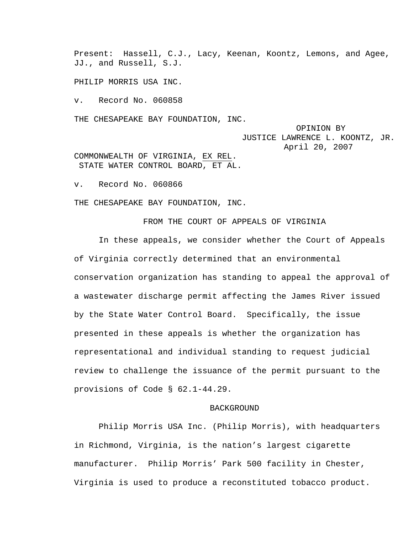Present: Hassell, C.J., Lacy, Keenan, Koontz, Lemons, and Agee, JJ., and Russell, S.J.

PHILIP MORRIS USA INC.

v. Record No. 060858

THE CHESAPEAKE BAY FOUNDATION, INC.

 OPINION BY JUSTICE LAWRENCE L. KOONTZ, JR. April 20, 2007

COMMONWEALTH OF VIRGINIA, EX REL. STATE WATER CONTROL BOARD, ET AL.

v. Record No. 060866

THE CHESAPEAKE BAY FOUNDATION, INC.

FROM THE COURT OF APPEALS OF VIRGINIA

In these appeals, we consider whether the Court of Appeals of Virginia correctly determined that an environmental conservation organization has standing to appeal the approval of a wastewater discharge permit affecting the James River issued by the State Water Control Board. Specifically, the issue presented in these appeals is whether the organization has representational and individual standing to request judicial review to challenge the issuance of the permit pursuant to the provisions of Code § 62.1-44.29.

# BACKGROUND

Philip Morris USA Inc. (Philip Morris), with headquarters in Richmond, Virginia, is the nation's largest cigarette manufacturer. Philip Morris' Park 500 facility in Chester, Virginia is used to produce a reconstituted tobacco product.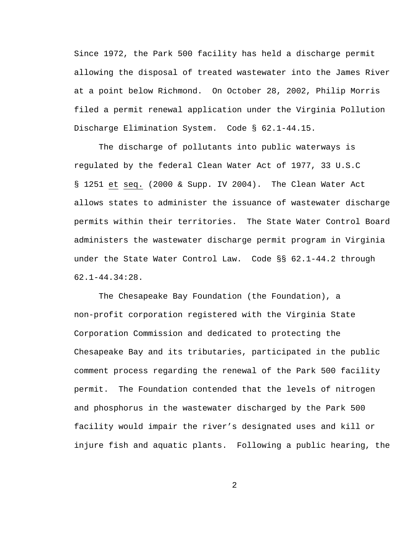Since 1972, the Park 500 facility has held a discharge permit allowing the disposal of treated wastewater into the James River at a point below Richmond. On October 28, 2002, Philip Morris filed a permit renewal application under the Virginia Pollution Discharge Elimination System. Code § 62.1-44.15.

The discharge of pollutants into public waterways is regulated by the federal Clean Water Act of 1977, 33 U.S.C § 1251 et seq. (2000 & Supp. IV 2004). The Clean Water Act allows states to administer the issuance of wastewater discharge permits within their territories. The State Water Control Board administers the wastewater discharge permit program in Virginia under the State Water Control Law. Code §§ 62.1-44.2 through 62.1-44.34:28.

The Chesapeake Bay Foundation (the Foundation), a non-profit corporation registered with the Virginia State Corporation Commission and dedicated to protecting the Chesapeake Bay and its tributaries, participated in the public comment process regarding the renewal of the Park 500 facility permit. The Foundation contended that the levels of nitrogen and phosphorus in the wastewater discharged by the Park 500 facility would impair the river's designated uses and kill or injure fish and aquatic plants. Following a public hearing, the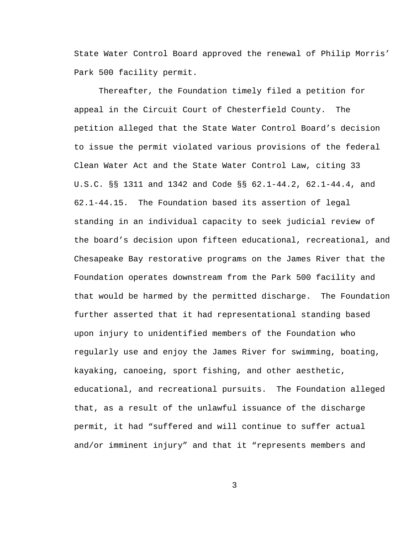State Water Control Board approved the renewal of Philip Morris' Park 500 facility permit.

Thereafter, the Foundation timely filed a petition for appeal in the Circuit Court of Chesterfield County. The petition alleged that the State Water Control Board's decision to issue the permit violated various provisions of the federal Clean Water Act and the State Water Control Law, citing 33 U.S.C. §§ 1311 and 1342 and Code §§ 62.1-44.2, 62.1-44.4, and 62.1-44.15. The Foundation based its assertion of legal standing in an individual capacity to seek judicial review of the board's decision upon fifteen educational, recreational, and Chesapeake Bay restorative programs on the James River that the Foundation operates downstream from the Park 500 facility and that would be harmed by the permitted discharge. The Foundation further asserted that it had representational standing based upon injury to unidentified members of the Foundation who regularly use and enjoy the James River for swimming, boating, kayaking, canoeing, sport fishing, and other aesthetic, educational, and recreational pursuits. The Foundation alleged that, as a result of the unlawful issuance of the discharge permit, it had "suffered and will continue to suffer actual and/or imminent injury" and that it "represents members and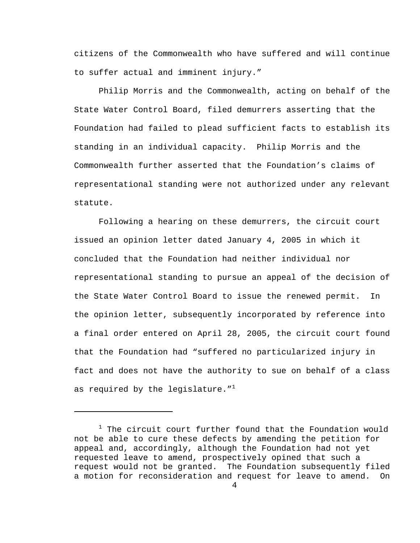citizens of the Commonwealth who have suffered and will continue to suffer actual and imminent injury."

Philip Morris and the Commonwealth, acting on behalf of the State Water Control Board, filed demurrers asserting that the Foundation had failed to plead sufficient facts to establish its standing in an individual capacity. Philip Morris and the Commonwealth further asserted that the Foundation's claims of representational standing were not authorized under any relevant statute.

Following a hearing on these demurrers, the circuit court issued an opinion letter dated January 4, 2005 in which it concluded that the Foundation had neither individual nor representational standing to pursue an appeal of the decision of the State Water Control Board to issue the renewed permit. In the opinion letter, subsequently incorporated by reference into a final order entered on April 28, 2005, the circuit court found that the Foundation had "suffered no particularized injury in fact and does not have the authority to sue on behalf of a class as required by the legislature." $1$ 

i

 $1$  The circuit court further found that the Foundation would not be able to cure these defects by amending the petition for appeal and, accordingly, although the Foundation had not yet requested leave to amend, prospectively opined that such a request would not be granted. The Foundation subsequently filed a motion for reconsideration and request for leave to amend. On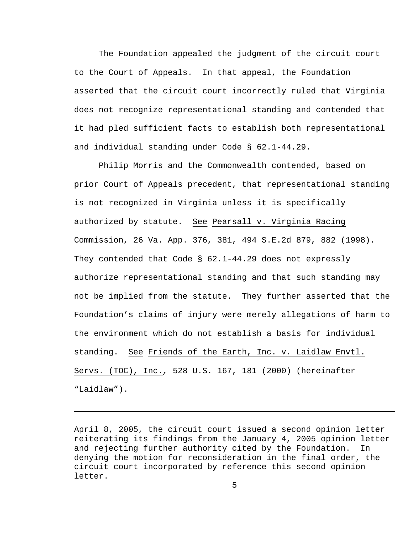The Foundation appealed the judgment of the circuit court to the Court of Appeals. In that appeal, the Foundation asserted that the circuit court incorrectly ruled that Virginia does not recognize representational standing and contended that it had pled sufficient facts to establish both representational and individual standing under Code § 62.1-44.29.

Philip Morris and the Commonwealth contended, based on prior Court of Appeals precedent, that representational standing is not recognized in Virginia unless it is specifically authorized by statute. See Pearsall v. Virginia Racing Commission, 26 Va. App. 376, 381, 494 S.E.2d 879, 882 (1998). They contended that Code § 62.1-44.29 does not expressly authorize representational standing and that such standing may not be implied from the statute. They further asserted that the Foundation's claims of injury were merely allegations of harm to the environment which do not establish a basis for individual standing. See Friends of the Earth, Inc. v. Laidlaw Envtl. Servs. (TOC), Inc.*,* 528 U.S. 167, 181 (2000) (hereinafter "Laidlaw").

April 8, 2005, the circuit court issued a second opinion letter reiterating its findings from the January 4, 2005 opinion letter and rejecting further authority cited by the Foundation. In denying the motion for reconsideration in the final order, the circuit court incorporated by reference this second opinion letter.

i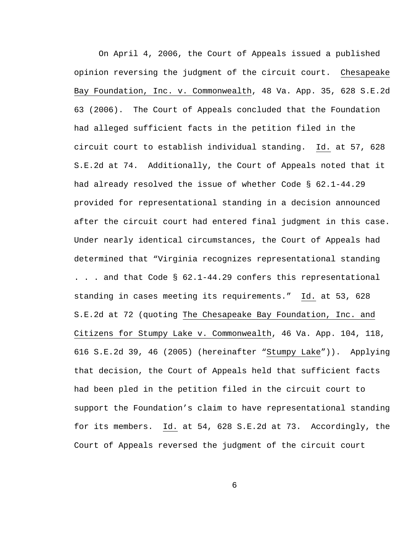On April 4, 2006, the Court of Appeals issued a published opinion reversing the judgment of the circuit court. Chesapeake Bay Foundation, Inc. v. Commonwealth, 48 Va. App. 35, 628 S.E.2d 63 (2006). The Court of Appeals concluded that the Foundation had alleged sufficient facts in the petition filed in the circuit court to establish individual standing. Id. at 57, 628 S.E.2d at 74. Additionally, the Court of Appeals noted that it had already resolved the issue of whether Code § 62.1-44.29 provided for representational standing in a decision announced after the circuit court had entered final judgment in this case. Under nearly identical circumstances, the Court of Appeals had determined that "Virginia recognizes representational standing . . . and that Code § 62.1-44.29 confers this representational standing in cases meeting its requirements." Id. at 53, 628 S.E.2d at 72 (quoting The Chesapeake Bay Foundation, Inc. and Citizens for Stumpy Lake v. Commonwealth, 46 Va. App. 104, 118, 616 S.E.2d 39, 46 (2005) (hereinafter "Stumpy Lake")). Applying that decision, the Court of Appeals held that sufficient facts had been pled in the petition filed in the circuit court to support the Foundation's claim to have representational standing for its members. Id. at 54, 628 S.E.2d at 73. Accordingly, the Court of Appeals reversed the judgment of the circuit court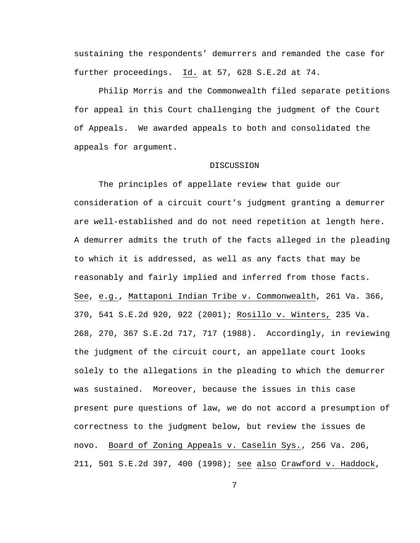sustaining the respondents' demurrers and remanded the case for further proceedings. Id. at 57, 628 S.E.2d at 74.

Philip Morris and the Commonwealth filed separate petitions for appeal in this Court challenging the judgment of the Court of Appeals. We awarded appeals to both and consolidated the appeals for argument.

## DISCUSSION

The principles of appellate review that guide our consideration of a circuit court's judgment granting a demurrer are well-established and do not need repetition at length here. A demurrer admits the truth of the facts alleged in the pleading to which it is addressed, as well as any facts that may be reasonably and fairly implied and inferred from those facts. See, e.g., Mattaponi Indian Tribe v. Commonwealth, 261 Va. 366, 370, 541 S.E.2d 920, 922 (2001); Rosillo v. Winters, 235 Va. 268, 270, 367 S.E.2d 717, 717 (1988). Accordingly, in reviewing the judgment of the circuit court, an appellate court looks solely to the allegations in the pleading to which the demurrer was sustained. Moreover, because the issues in this case present pure questions of law, we do not accord a presumption of correctness to the judgment below, but review the issues de novo. Board of Zoning Appeals v. Caselin Sys., 256 Va. 206, 211, 501 S.E.2d 397, 400 (1998); see also Crawford v. Haddock,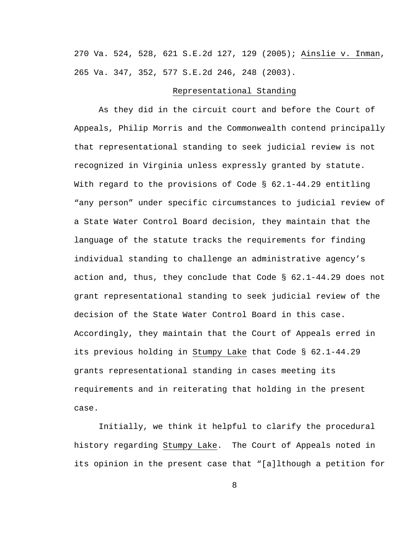270 Va. 524, 528, 621 S.E.2d 127, 129 (2005); Ainslie v. Inman, 265 Va. 347, 352, 577 S.E.2d 246, 248 (2003).

### Representational Standing

As they did in the circuit court and before the Court of Appeals, Philip Morris and the Commonwealth contend principally that representational standing to seek judicial review is not recognized in Virginia unless expressly granted by statute. With regard to the provisions of Code  $\S$  62.1-44.29 entitling "any person" under specific circumstances to judicial review of a State Water Control Board decision, they maintain that the language of the statute tracks the requirements for finding individual standing to challenge an administrative agency's action and, thus, they conclude that Code § 62.1-44.29 does not grant representational standing to seek judicial review of the decision of the State Water Control Board in this case. Accordingly, they maintain that the Court of Appeals erred in its previous holding in Stumpy Lake that Code § 62.1-44.29 grants representational standing in cases meeting its requirements and in reiterating that holding in the present case.

Initially, we think it helpful to clarify the procedural history regarding Stumpy Lake. The Court of Appeals noted in its opinion in the present case that "[a]lthough a petition for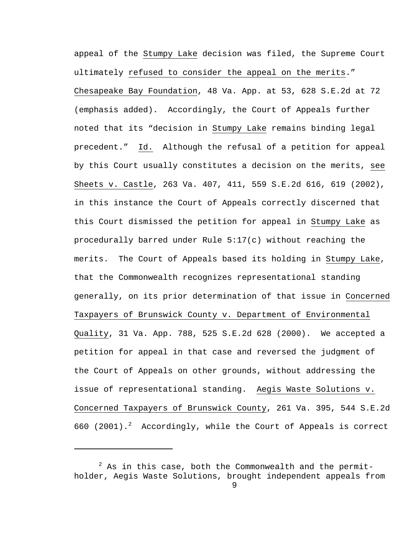appeal of the Stumpy Lake decision was filed, the Supreme Court ultimately refused to consider the appeal on the merits." Chesapeake Bay Foundation, 48 Va. App. at 53, 628 S.E.2d at 72 (emphasis added). Accordingly, the Court of Appeals further noted that its "decision in Stumpy Lake remains binding legal precedent." Id. Although the refusal of a petition for appeal by this Court usually constitutes a decision on the merits, see Sheets v. Castle, 263 Va. 407, 411, 559 S.E.2d 616, 619 (2002), in this instance the Court of Appeals correctly discerned that this Court dismissed the petition for appeal in Stumpy Lake as procedurally barred under Rule 5:17(c) without reaching the merits. The Court of Appeals based its holding in Stumpy Lake, that the Commonwealth recognizes representational standing generally, on its prior determination of that issue in Concerned Taxpayers of Brunswick County v. Department of Environmental Quality, 31 Va. App. 788, 525 S.E.2d 628 (2000). We accepted a petition for appeal in that case and reversed the judgment of the Court of Appeals on other grounds, without addressing the issue of representational standing. Aegis Waste Solutions v. Concerned Taxpayers of Brunswick County, 261 Va. 395, 544 S.E.2d 660 (2001).<sup>2</sup> Accordingly, while the Court of Appeals is correct

i

 $2$  As in this case, both the Commonwealth and the permitholder, Aegis Waste Solutions, brought independent appeals from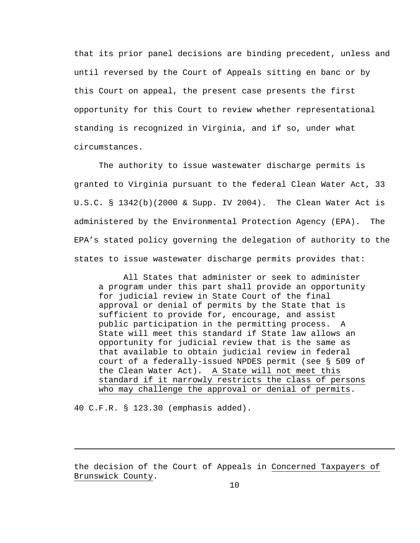that its prior panel decisions are binding precedent, unless and until reversed by the Court of Appeals sitting en banc or by this Court on appeal, the present case presents the first opportunity for this Court to review whether representational standing is recognized in Virginia, and if so, under what circumstances.

The authority to issue wastewater discharge permits is granted to Virginia pursuant to the federal Clean Water Act, 33 U.S.C. § 1342(b)(2000 & Supp. IV 2004). The Clean Water Act is administered by the Environmental Protection Agency (EPA). The EPA's stated policy governing the delegation of authority to the states to issue wastewater discharge permits provides that:

All States that administer or seek to administer a program under this part shall provide an opportunity for judicial review in State Court of the final approval or denial of permits by the State that is sufficient to provide for, encourage, and assist public participation in the permitting process. A State will meet this standard if State law allows an opportunity for judicial review that is the same as that available to obtain judicial review in federal court of a federally-issued NPDES permit (see § 509 of the Clean Water Act). A State will not meet this standard if it narrowly restricts the class of persons who may challenge the approval or denial of permits.

40 C.F.R. § 123.30 (emphasis added).

i

the decision of the Court of Appeals in Concerned Taxpayers of Brunswick County.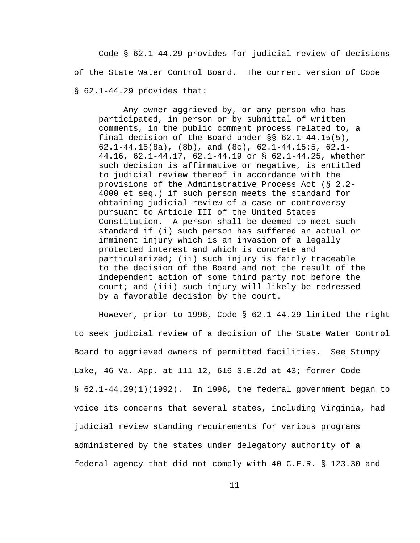Code § 62.1-44.29 provides for judicial review of decisions of the State Water Control Board. The current version of Code § 62.1-44.29 provides that:

Any owner aggrieved by, or any person who has participated, in person or by submittal of written comments, in the public comment process related to, a final decision of the Board under §§ 62.1-44.15(5), 62.1-44.15(8a), (8b), and (8c), 62.1-44.15:5, 62.1- 44.16, 62.1-44.17, 62.1-44.19 or § 62.1-44.25, whether such decision is affirmative or negative, is entitled to judicial review thereof in accordance with the provisions of the Administrative Process Act (§ 2.2- 4000 et seq.) if such person meets the standard for obtaining judicial review of a case or controversy pursuant to Article III of the United States Constitution. A person shall be deemed to meet such standard if (i) such person has suffered an actual or imminent injury which is an invasion of a legally protected interest and which is concrete and particularized; (ii) such injury is fairly traceable to the decision of the Board and not the result of the independent action of some third party not before the court; and (iii) such injury will likely be redressed by a favorable decision by the court.

However, prior to 1996, Code § 62.1-44.29 limited the right to seek judicial review of a decision of the State Water Control Board to aggrieved owners of permitted facilities. See Stumpy Lake, 46 Va. App. at 111-12, 616 S.E.2d at 43; former Code § 62.1-44.29(1)(1992). In 1996, the federal government began to voice its concerns that several states, including Virginia, had judicial review standing requirements for various programs administered by the states under delegatory authority of a federal agency that did not comply with 40 C.F.R. § 123.30 and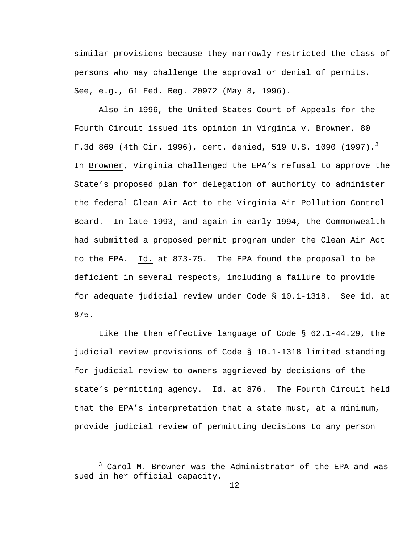similar provisions because they narrowly restricted the class of persons who may challenge the approval or denial of permits. See, e.g., 61 Fed. Reg. 20972 (May 8, 1996).

Also in 1996, the United States Court of Appeals for the Fourth Circuit issued its opinion in Virginia v. Browner, 80 F.3d 869 (4th Cir. 1996), <u>cert.</u> denied, 519 U.S. 1090 (1997).<sup>3</sup> In Browner, Virginia challenged the EPA's refusal to approve the State's proposed plan for delegation of authority to administer the federal Clean Air Act to the Virginia Air Pollution Control Board. In late 1993, and again in early 1994, the Commonwealth had submitted a proposed permit program under the Clean Air Act to the EPA. Id. at 873-75. The EPA found the proposal to be deficient in several respects, including a failure to provide for adequate judicial review under Code § 10.1-1318. See id. at 875.

Like the then effective language of Code § 62.1-44.29, the judicial review provisions of Code § 10.1-1318 limited standing for judicial review to owners aggrieved by decisions of the state's permitting agency. Id. at 876. The Fourth Circuit held that the EPA's interpretation that a state must, at a minimum, provide judicial review of permitting decisions to any person

i

<sup>&</sup>lt;sup>3</sup> Carol M. Browner was the Administrator of the EPA and was sued in her official capacity.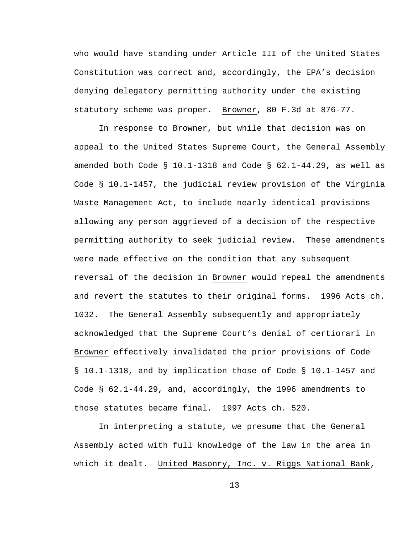who would have standing under Article III of the United States Constitution was correct and, accordingly, the EPA's decision denying delegatory permitting authority under the existing statutory scheme was proper. Browner, 80 F.3d at 876-77.

In response to Browner, but while that decision was on appeal to the United States Supreme Court, the General Assembly amended both Code § 10.1-1318 and Code § 62.1-44.29, as well as Code § 10.1-1457, the judicial review provision of the Virginia Waste Management Act, to include nearly identical provisions allowing any person aggrieved of a decision of the respective permitting authority to seek judicial review. These amendments were made effective on the condition that any subsequent reversal of the decision in Browner would repeal the amendments and revert the statutes to their original forms. 1996 Acts ch. 1032. The General Assembly subsequently and appropriately acknowledged that the Supreme Court's denial of certiorari in Browner effectively invalidated the prior provisions of Code § 10.1-1318, and by implication those of Code § 10.1-1457 and Code § 62.1-44.29, and, accordingly, the 1996 amendments to those statutes became final. 1997 Acts ch. 520.

In interpreting a statute, we presume that the General Assembly acted with full knowledge of the law in the area in which it dealt. United Masonry, Inc. v. Riggs National Bank,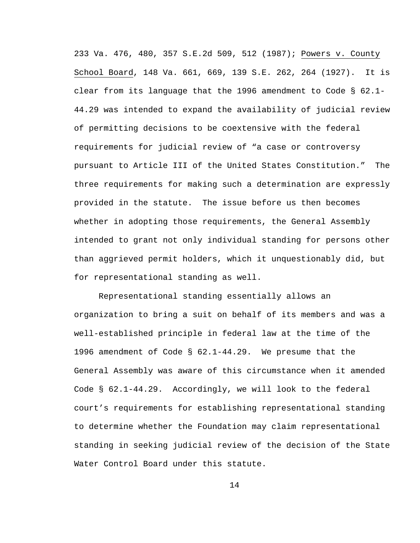233 Va. 476, 480, 357 S.E.2d 509, 512 (1987); Powers v. County School Board, 148 Va. 661, 669, 139 S.E. 262, 264 (1927). It is clear from its language that the 1996 amendment to Code  $\S$  62.1-44.29 was intended to expand the availability of judicial review of permitting decisions to be coextensive with the federal requirements for judicial review of "a case or controversy pursuant to Article III of the United States Constitution." The three requirements for making such a determination are expressly provided in the statute. The issue before us then becomes whether in adopting those requirements, the General Assembly intended to grant not only individual standing for persons other than aggrieved permit holders, which it unquestionably did, but for representational standing as well.

Representational standing essentially allows an organization to bring a suit on behalf of its members and was a well-established principle in federal law at the time of the 1996 amendment of Code § 62.1-44.29. We presume that the General Assembly was aware of this circumstance when it amended Code § 62.1-44.29. Accordingly, we will look to the federal court's requirements for establishing representational standing to determine whether the Foundation may claim representational standing in seeking judicial review of the decision of the State Water Control Board under this statute.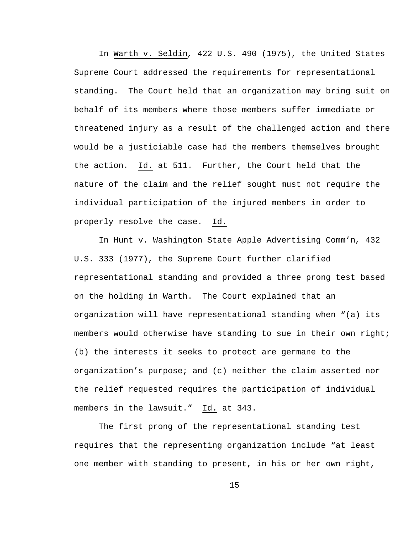In Warth v. Seldin*,* 422 U.S. 490 (1975), the United States Supreme Court addressed the requirements for representational standing. The Court held that an organization may bring suit on behalf of its members where those members suffer immediate or threatened injury as a result of the challenged action and there would be a justiciable case had the members themselves brought the action. Id. at 511. Further, the Court held that the nature of the claim and the relief sought must not require the individual participation of the injured members in order to properly resolve the case. Id.

In Hunt v. Washington State Apple Advertising Comm'n*,* 432 U.S. 333 (1977), the Supreme Court further clarified representational standing and provided a three prong test based on the holding in Warth. The Court explained that an organization will have representational standing when "(a) its members would otherwise have standing to sue in their own right; (b) the interests it seeks to protect are germane to the organization's purpose; and (c) neither the claim asserted nor the relief requested requires the participation of individual members in the lawsuit." Id. at 343.

The first prong of the representational standing test requires that the representing organization include "at least one member with standing to present, in his or her own right,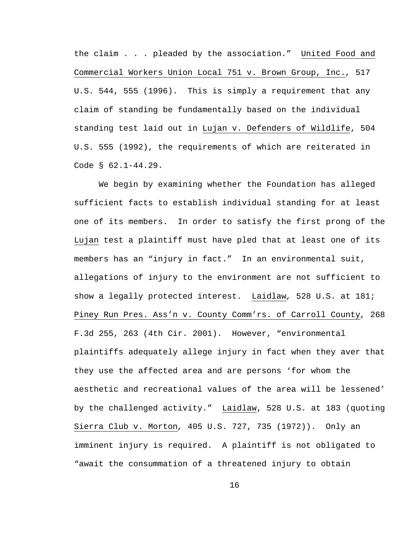the claim . . . pleaded by the association." United Food and Commercial Workers Union Local 751 v. Brown Group, Inc.*,* 517 U.S. 544, 555 (1996). This is simply a requirement that any claim of standing be fundamentally based on the individual standing test laid out in Lujan v. Defenders of Wildlife, 504 U.S. 555 (1992), the requirements of which are reiterated in Code § 62.1-44.29.

We begin by examining whether the Foundation has alleged sufficient facts to establish individual standing for at least one of its members. In order to satisfy the first prong of the Lujan test a plaintiff must have pled that at least one of its members has an "injury in fact." In an environmental suit, allegations of injury to the environment are not sufficient to show a legally protected interest. Laidlaw*,* 528 U.S. at 181; Piney Run Pres. Ass'n v. County Comm'rs. of Carroll County*,* 268 F.3d 255, 263 (4th Cir. 2001). However, "environmental plaintiffs adequately allege injury in fact when they aver that they use the affected area and are persons 'for whom the aesthetic and recreational values of the area will be lessened' by the challenged activity." Laidlaw, 528 U.S. at 183 (quoting Sierra Club v. Morton*,* 405 U.S. 727, 735 (1972)). Only an imminent injury is required. A plaintiff is not obligated to "await the consummation of a threatened injury to obtain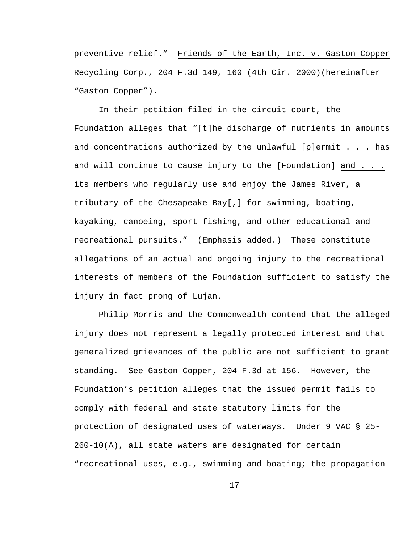preventive relief." Friends of the Earth, Inc. v. Gaston Copper Recycling Corp., 204 F.3d 149, 160 (4th Cir. 2000)(hereinafter "Gaston Copper").

In their petition filed in the circuit court, the Foundation alleges that "[t]he discharge of nutrients in amounts and concentrations authorized by the unlawful [p]ermit  $\ldots$  has and will continue to cause injury to the [Foundation] and . . . its members who regularly use and enjoy the James River, a tributary of the Chesapeake Bay[,] for swimming, boating, kayaking, canoeing, sport fishing, and other educational and recreational pursuits." (Emphasis added.) These constitute allegations of an actual and ongoing injury to the recreational interests of members of the Foundation sufficient to satisfy the injury in fact prong of Lujan.

Philip Morris and the Commonwealth contend that the alleged injury does not represent a legally protected interest and that generalized grievances of the public are not sufficient to grant standing. See Gaston Copper, 204 F.3d at 156. However, the Foundation's petition alleges that the issued permit fails to comply with federal and state statutory limits for the protection of designated uses of waterways. Under 9 VAC § 25- 260-10(A), all state waters are designated for certain "recreational uses, e.g., swimming and boating; the propagation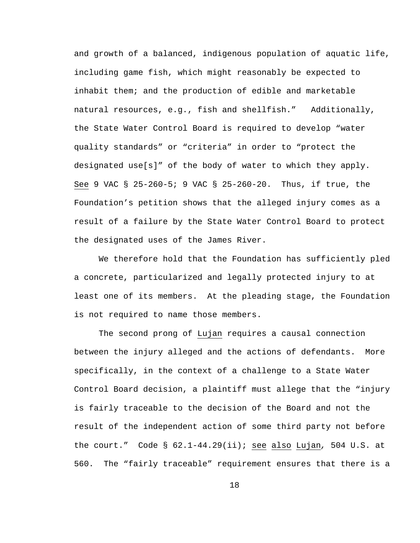and growth of a balanced, indigenous population of aquatic life, including game fish, which might reasonably be expected to inhabit them; and the production of edible and marketable natural resources, e.g., fish and shellfish." Additionally, the State Water Control Board is required to develop "water quality standards" or "criteria" in order to "protect the designated use[s]" of the body of water to which they apply. See 9 VAC § 25-260-5; 9 VAC § 25-260-20. Thus, if true, the Foundation's petition shows that the alleged injury comes as a result of a failure by the State Water Control Board to protect the designated uses of the James River.

We therefore hold that the Foundation has sufficiently pled a concrete, particularized and legally protected injury to at least one of its members. At the pleading stage, the Foundation is not required to name those members.

The second prong of Lujan requires a causal connection between the injury alleged and the actions of defendants. More specifically, in the context of a challenge to a State Water Control Board decision, a plaintiff must allege that the "injury is fairly traceable to the decision of the Board and not the result of the independent action of some third party not before the court." Code § 62.1-44.29(ii); see also Lujan*,* 504 U.S. at 560. The "fairly traceable" requirement ensures that there is a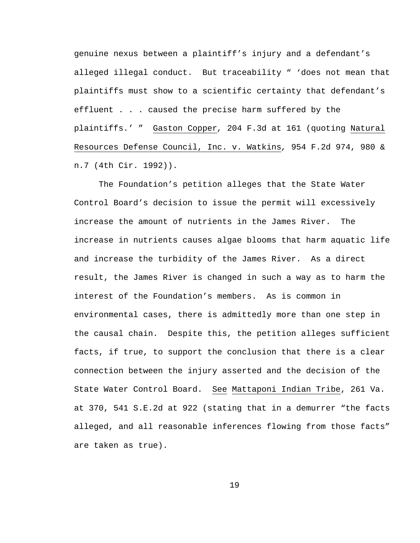genuine nexus between a plaintiff's injury and a defendant's alleged illegal conduct. But traceability " 'does not mean that plaintiffs must show to a scientific certainty that defendant's effluent . . . caused the precise harm suffered by the plaintiffs.' " Gaston Copper*,* 204 F.3d at 161 (quoting Natural Resources Defense Council, Inc. v. Watkins*,* 954 F.2d 974, 980 & n.7 (4th Cir. 1992)).

The Foundation's petition alleges that the State Water Control Board's decision to issue the permit will excessively increase the amount of nutrients in the James River. The increase in nutrients causes algae blooms that harm aquatic life and increase the turbidity of the James River. As a direct result, the James River is changed in such a way as to harm the interest of the Foundation's members. As is common in environmental cases, there is admittedly more than one step in the causal chain. Despite this, the petition alleges sufficient facts, if true, to support the conclusion that there is a clear connection between the injury asserted and the decision of the State Water Control Board. See Mattaponi Indian Tribe, 261 Va. at 370, 541 S.E.2d at 922 (stating that in a demurrer "the facts alleged, and all reasonable inferences flowing from those facts" are taken as true).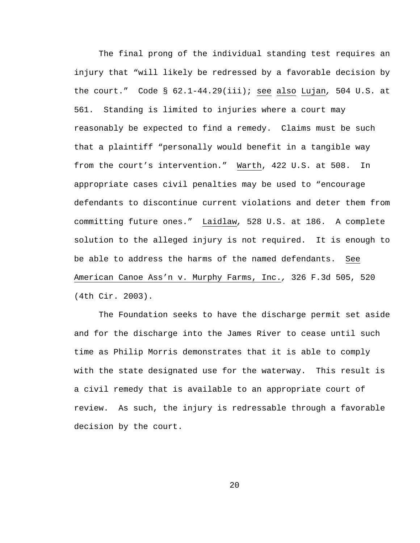The final prong of the individual standing test requires an injury that "will likely be redressed by a favorable decision by the court." Code § 62.1-44.29(iii); see also Lujan*,* 504 U.S. at 561. Standing is limited to injuries where a court may reasonably be expected to find a remedy. Claims must be such that a plaintiff "personally would benefit in a tangible way from the court's intervention." Warth, 422 U.S. at 508. In appropriate cases civil penalties may be used to "encourage defendants to discontinue current violations and deter them from committing future ones." Laidlaw*,* 528 U.S. at 186. A complete solution to the alleged injury is not required. It is enough to be able to address the harms of the named defendants. See American Canoe Ass'n v. Murphy Farms, Inc.*,* 326 F.3d 505, 520 (4th Cir. 2003).

The Foundation seeks to have the discharge permit set aside and for the discharge into the James River to cease until such time as Philip Morris demonstrates that it is able to comply with the state designated use for the waterway. This result is a civil remedy that is available to an appropriate court of review. As such, the injury is redressable through a favorable decision by the court.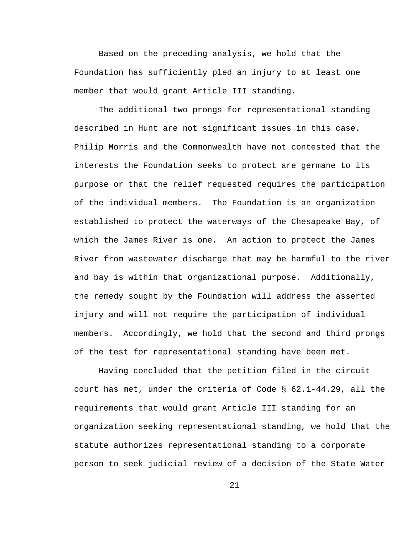Based on the preceding analysis, we hold that the Foundation has sufficiently pled an injury to at least one member that would grant Article III standing.

The additional two prongs for representational standing described in Hunt are not significant issues in this case. Philip Morris and the Commonwealth have not contested that the interests the Foundation seeks to protect are germane to its purpose or that the relief requested requires the participation of the individual members. The Foundation is an organization established to protect the waterways of the Chesapeake Bay, of which the James River is one. An action to protect the James River from wastewater discharge that may be harmful to the river and bay is within that organizational purpose. Additionally, the remedy sought by the Foundation will address the asserted injury and will not require the participation of individual members. Accordingly, we hold that the second and third prongs of the test for representational standing have been met.

Having concluded that the petition filed in the circuit court has met, under the criteria of Code § 62.1-44.29, all the requirements that would grant Article III standing for an organization seeking representational standing, we hold that the statute authorizes representational standing to a corporate person to seek judicial review of a decision of the State Water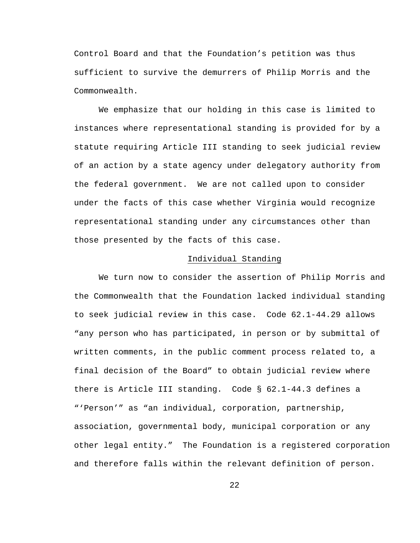Control Board and that the Foundation's petition was thus sufficient to survive the demurrers of Philip Morris and the Commonwealth.

We emphasize that our holding in this case is limited to instances where representational standing is provided for by a statute requiring Article III standing to seek judicial review of an action by a state agency under delegatory authority from the federal government. We are not called upon to consider under the facts of this case whether Virginia would recognize representational standing under any circumstances other than those presented by the facts of this case.

### Individual Standing

We turn now to consider the assertion of Philip Morris and the Commonwealth that the Foundation lacked individual standing to seek judicial review in this case. Code 62.1-44.29 allows "any person who has participated, in person or by submittal of written comments, in the public comment process related to, a final decision of the Board" to obtain judicial review where there is Article III standing. Code § 62.1-44.3 defines a "'Person'" as "an individual, corporation, partnership, association, governmental body, municipal corporation or any other legal entity." The Foundation is a registered corporation and therefore falls within the relevant definition of person.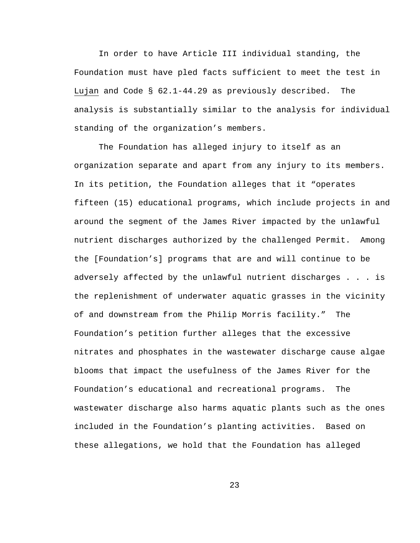In order to have Article III individual standing, the Foundation must have pled facts sufficient to meet the test in Lujan and Code § 62.1-44.29 as previously described. The analysis is substantially similar to the analysis for individual standing of the organization's members.

The Foundation has alleged injury to itself as an organization separate and apart from any injury to its members. In its petition, the Foundation alleges that it "operates fifteen (15) educational programs, which include projects in and around the segment of the James River impacted by the unlawful nutrient discharges authorized by the challenged Permit. Among the [Foundation's] programs that are and will continue to be adversely affected by the unlawful nutrient discharges . . . is the replenishment of underwater aquatic grasses in the vicinity of and downstream from the Philip Morris facility." The Foundation's petition further alleges that the excessive nitrates and phosphates in the wastewater discharge cause algae blooms that impact the usefulness of the James River for the Foundation's educational and recreational programs. The wastewater discharge also harms aquatic plants such as the ones included in the Foundation's planting activities. Based on these allegations, we hold that the Foundation has alleged